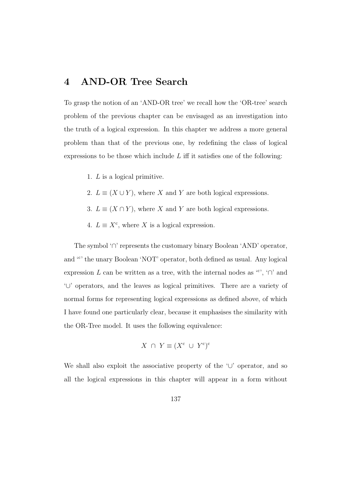# **4 AND-OR Tree Search**

To grasp the notion of an 'AND-OR tree' we recall how the 'OR-tree' search problem of the previous chapter can be envisaged as an investigation into the truth of a logical expression. In this chapter we address a more general problem than that of the previous one, by redefining the class of logical expressions to be those which include  $L$  iff it satisfies one of the following:

- 1. L is a logical primitive.
- 2.  $L \equiv (X \cup Y)$ , where X and Y are both logical expressions.
- 3.  $L \equiv (X \cap Y)$ , where X and Y are both logical expressions.
- 4.  $L \equiv X^c$ , where X is a logical expression.

The symbol '∩' represents the customary binary Boolean 'AND' operator, and '<sup>c</sup>' the unary Boolean 'NOT' operator, both defined as usual. Any logical expression L can be written as a tree, with the internal nodes as  $\lq\lq$ ;  $\lq\lq$  and '∪' operators, and the leaves as logical primitives. There are a variety of normal forms for representing logical expressions as defined above, of which I have found one particularly clear, because it emphasises the similarity with the OR-Tree model. It uses the following equivalence:

$$
X \cap Y \equiv (X^{\mathbf{c}} \cup Y^{\mathbf{c}})^{\mathbf{c}}
$$

We shall also exploit the associative property of the '∪' operator, and so all the logical expressions in this chapter will appear in a form without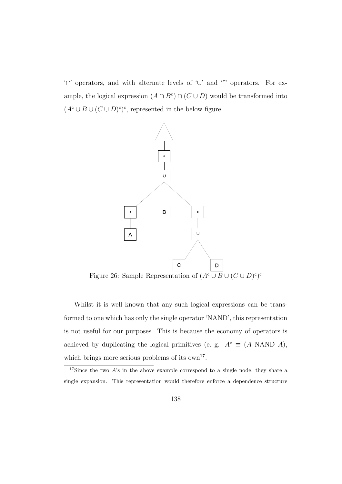'∩- operators, and with alternate levels of '∪' and '<sup>c</sup> ' operators. For example, the logical expression  $(A \cap B^c) \cap (C \cup D)$  would be transformed into  $(A<sup>c</sup> \cup B \cup (C \cup D)<sup>c</sup>)<sup>c</sup>$ , represented in the below figure.



Whilst it is well known that any such logical expressions can be transformed to one which has only the single operator 'NAND', this representation is not useful for our purposes. This is because the economy of operators is achieved by duplicating the logical primitives (e. g.  $A<sup>c</sup> \equiv (A \text{ NAND } A)$ , which brings more serious problems of its  $own<sup>17</sup>$ .

<sup>&</sup>lt;sup>17</sup>Since the two A's in the above example correspond to a single node, they share a single expansion. This representation would therefore enforce a dependence structure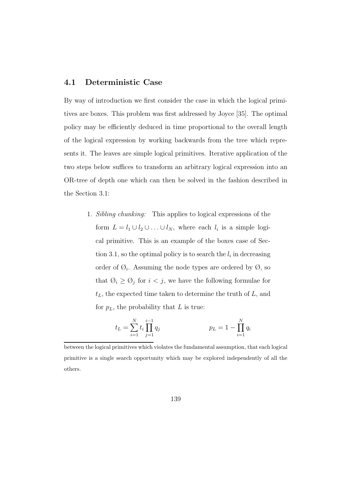## **4.1 Deterministic Case**

By way of introduction we first consider the case in which the logical primitives are boxes. This problem was first addressed by Joyce [35]. The optimal policy may be efficiently deduced in time proportional to the overall length of the logical expression by working backwards from the tree which represents it. The leaves are simple logical primitives. Iterative application of the two steps below suffices to transform an arbitrary logical expression into an OR-tree of depth one which can then be solved in the fashion described in the Section 3.1:

> 1. Sibling chunking: This applies to logical expressions of the form  $L = l_1 \cup l_2 \cup \ldots \cup l_N$ , where each  $l_i$  is a simple logical primitive. This is an example of the boxes case of Section 3.1, so the optimal policy is to search the  $l_i$  in decreasing order of  $\mathcal{O}_i$ . Assuming the node types are ordered by  $\mathcal{O}_i$ , so that  $\emptyset_i \geq \emptyset_j$  for  $i < j$ , we have the following formulae for  $t_L$ , the expected time taken to determine the truth of  $L$ , and for  $p<sub>L</sub>$ , the probability that L is true:

$$
t_L = \sum_{i=1}^{N} t_i \prod_{j=1}^{i-1} q_j
$$
  $p_L = 1 - \prod_{i=1}^{N} q_i$ 

between the logical primitives which violates the fundamental assumption, that each logical primitive is a single search opportunity which may be explored independently of all the others.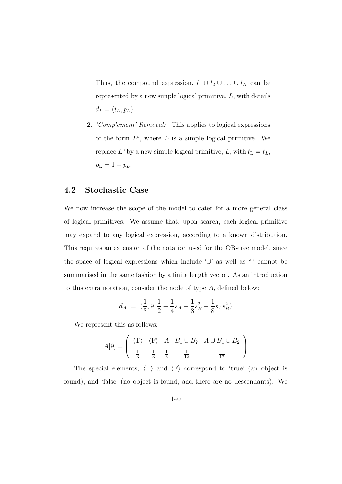Thus, the compound expression,  $l_1 \cup l_2 \cup \ldots \cup l_N$  can be represented by a new simple logical primitive, L, with details  $d_L = (t_L, p_L).$ 

2. 'Complement' Removal: This applies to logical expressions of the form  $L^c$ , where L is a simple logical primitive. We replace  $L^c$  by a new simple logical primitive, L, with  $t_L = t_L$ ,  $p_{\rm L} = 1 - p_{L}.$ 

# **4.2 Stochastic Case**

We now increase the scope of the model to cater for a more general class of logical primitives. We assume that, upon search, each logical primitive may expand to any logical expression, according to a known distribution. This requires an extension of the notation used for the OR-tree model, since the space of logical expressions which include '∪' as well as '<sup>c</sup>' cannot be summarised in the same fashion by a finite length vector. As an introduction to this extra notation, consider the node of type A, defined below:

$$
d_A = (\frac{1}{3}, 9, \frac{1}{2} + \frac{1}{4}s_A + \frac{1}{8}s_B^2 + \frac{1}{8}s_A s_B^2)
$$

We represent this as follows:

$$
A[9] = \begin{pmatrix} \langle T \rangle & \langle F \rangle & A & B_1 \cup B_2 & A \cup B_1 \cup B_2 \\ \frac{1}{3} & \frac{1}{3} & \frac{1}{6} & \frac{1}{12} & \frac{1}{12} \end{pmatrix}
$$

The special elements,  $\langle T \rangle$  and  $\langle F \rangle$  correspond to 'true' (an object is found), and 'false' (no object is found, and there are no descendants). We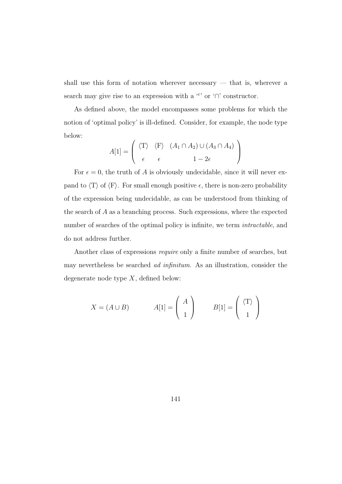shall use this form of notation wherever necessary — that is, wherever a search may give rise to an expression with a  $\lq{c}$  or  $\lq{n}'$  constructor.

As defined above, the model encompasses some problems for which the notion of 'optimal policy' is ill-defined. Consider, for example, the node type below:

$$
A[1] = \left(\begin{array}{cc} \langle T \rangle & \langle F \rangle & (A_1 \cap A_2) \cup (A_3 \cap A_4) \\ \epsilon & \epsilon & 1 - 2\epsilon \end{array}\right)
$$

For  $\epsilon = 0$ , the truth of A is obviously undecidable, since it will never expand to  $\langle T \rangle$  of  $\langle F \rangle$ . For small enough positive  $\epsilon$ , there is non-zero probability of the expression being undecidable, as can be understood from thinking of the search of A as a branching process. Such expressions, where the expected number of searches of the optimal policy is infinite, we term *intractable*, and do not address further.

Another class of expressions require only a finite number of searches, but may nevertheless be searched *ad infinitum*. As an illustration, consider the degenerate node type  $X$ , defined below:

$$
X = (A \cup B) \qquad A[1] = \begin{pmatrix} A \\ 1 \end{pmatrix} \qquad B[1] = \begin{pmatrix} \langle T \rangle \\ 1 \end{pmatrix}
$$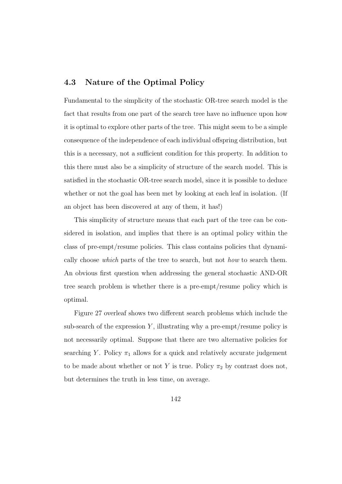## **4.3 Nature of the Optimal Policy**

Fundamental to the simplicity of the stochastic OR-tree search model is the fact that results from one part of the search tree have no influence upon how it is optimal to explore other parts of the tree. This might seem to be a simple consequence of the independence of each individual offspring distribution, but this is a necessary, not a sufficient condition for this property. In addition to this there must also be a simplicity of structure of the search model. This is satisfied in the stochastic OR-tree search model, since it is possible to deduce whether or not the goal has been met by looking at each leaf in isolation. (If an object has been discovered at any of them, it has!)

This simplicity of structure means that each part of the tree can be considered in isolation, and implies that there is an optimal policy within the class of pre-empt/resume policies. This class contains policies that dynamically choose which parts of the tree to search, but not how to search them. An obvious first question when addressing the general stochastic AND-OR tree search problem is whether there is a pre-empt/resume policy which is optimal.

Figure 27 overleaf shows two different search problems which include the sub-search of the expression Y, illustrating why a pre-empt/resume policy is not necessarily optimal. Suppose that there are two alternative policies for searching Y. Policy  $\pi_1$  allows for a quick and relatively accurate judgement to be made about whether or not Y is true. Policy  $\pi_2$  by contrast does not, but determines the truth in less time, on average.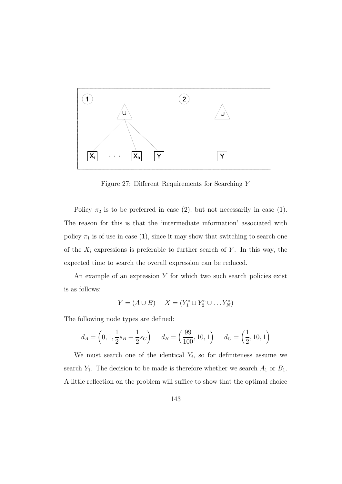

Figure 27: Different Requirements for Searching Y

Policy  $\pi_2$  is to be preferred in case (2), but not necessarily in case (1). The reason for this is that the 'intermediate information' associated with policy  $\pi_1$  is of use in case (1), since it may show that switching to search one of the  $X_i$  expressions is preferable to further search of Y. In this way, the expected time to search the overall expression can be reduced.

An example of an expression  $Y$  for which two such search policies exist is as follows:

$$
Y = (A \cup B) \qquad X = (Y_1^c \cup Y_2^c \cup \dots Y_N^c)
$$

The following node types are defined:

$$
d_A = \left(0, 1, \frac{1}{2}s_B + \frac{1}{2}s_C\right)
$$
  $d_B = \left(\frac{99}{100}, 10, 1\right)$   $d_C = \left(\frac{1}{2}, 10, 1\right)$ 

We must search one of the identical  $Y_i$ , so for definiteness assume we search  $Y_1$ . The decision to be made is therefore whether we search  $A_1$  or  $B_1$ . A little reflection on the problem will suffice to show that the optimal choice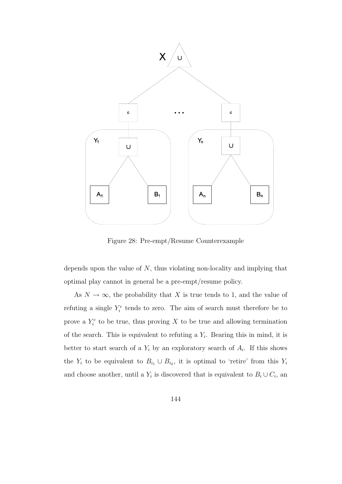

Figure 28: Pre-empt/Resume Counterexample

depends upon the value of  $N$ , thus violating non-locality and implying that optimal play cannot in general be a pre-empt/resume policy.

As  $N \to \infty$ , the probability that X is true tends to 1, and the value of refuting a single  $Y_i^c$  tends to zero. The aim of search must therefore be to prove a  $Y_i^c$  to be true, thus proving X to be true and allowing termination of the search. This is equivalent to refuting a  $Y_i$ . Bearing this in mind, it is better to start search of a  $Y_i$  by an exploratory search of  $A_i$ . If this shows the  $Y_i$  to be equivalent to  $B_{i_1} \cup B_{i_2}$ , it is optimal to 'retire' from this  $Y_i$ and choose another, until a  $Y_i$  is discovered that is equivalent to  $B_i \cup C_i$ , an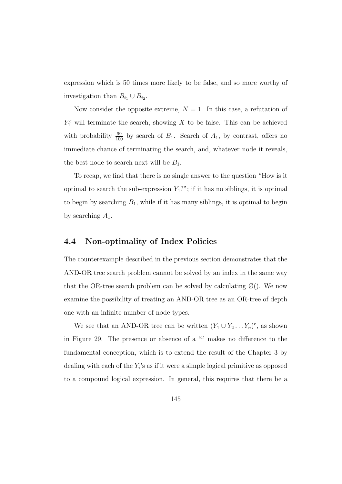expression which is 50 times more likely to be false, and so more worthy of investigation than  $B_{i_1} \cup B_{i_2}$ .

Now consider the opposite extreme,  $N = 1$ . In this case, a refutation of  $Y_1^c$  will terminate the search, showing X to be false. This can be achieved with probability  $\frac{99}{100}$  by search of  $B_1$ . Search of  $A_1$ , by contrast, offers no immediate chance of terminating the search, and, whatever node it reveals, the best node to search next will be  $B_1$ .

To recap, we find that there is no single answer to the question "How is it optimal to search the sub-expression  $Y_1$ ?"; if it has no siblings, it is optimal to begin by searching  $B_1$ , while if it has many siblings, it is optimal to begin by searching  $A_1$ .

#### **4.4 Non-optimality of Index Policies**

The counterexample described in the previous section demonstrates that the AND-OR tree search problem cannot be solved by an index in the same way that the OR-tree search problem can be solved by calculating  $\emptyset$ . We now examine the possibility of treating an AND-OR tree as an OR-tree of depth one with an infinite number of node types.

We see that an AND-OR tree can be written  $(Y_1 \cup Y_2 \dots Y_n)^c$ , as shown in Figure 29. The presence or absence of a '<sup>c</sup> ' makes no difference to the fundamental conception, which is to extend the result of the Chapter 3 by dealing with each of the  $Y_i$ 's as if it were a simple logical primitive as opposed to a compound logical expression. In general, this requires that there be a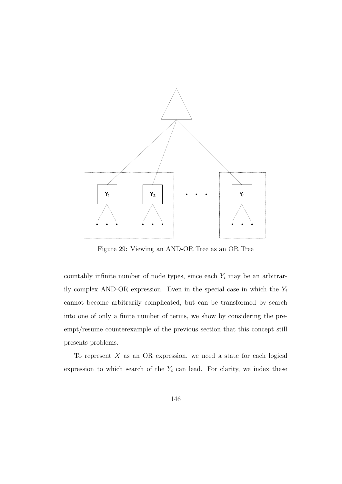

Figure 29: Viewing an AND-OR Tree as an OR Tree

countably infinite number of node types, since each  $Y_i$  may be an arbitrarily complex AND-OR expression. Even in the special case in which the  $Y_i$ cannot become arbitrarily complicated, but can be transformed by search into one of only a finite number of terms, we show by considering the preempt/resume counterexample of the previous section that this concept still presents problems.

To represent  $X$  as an OR expression, we need a state for each logical expression to which search of the  $Y_i$  can lead. For clarity, we index these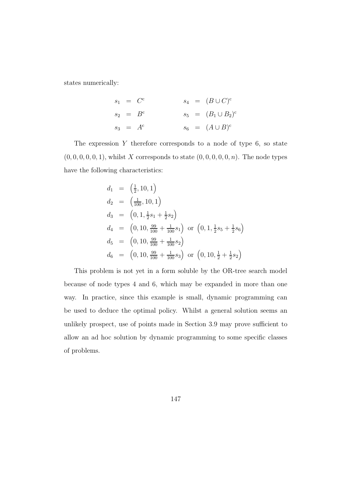states numerically:

$$
s_1 = Cc
$$
  
\n
$$
s_2 = Bc
$$
  
\n
$$
s_3 = Ac
$$
  
\n
$$
s_4 = (B \cup C)c
$$
  
\n
$$
s_5 = (B_1 \cup B_2)c
$$
  
\n
$$
s_6 = (A \cup B)c
$$

The expression  $Y$  therefore corresponds to a node of type 6, so state  $(0, 0, 0, 0, 0, 1)$ , whilst X corresponds to state  $(0, 0, 0, 0, 0, n)$ . The node types have the following characteristics:

$$
d_1 = \left(\frac{1}{2}, 10, 1\right)
$$
  
\n
$$
d_2 = \left(\frac{1}{100}, 10, 1\right)
$$
  
\n
$$
d_3 = \left(0, 1, \frac{1}{2}s_1 + \frac{1}{2}s_2\right)
$$
  
\n
$$
d_4 = \left(0, 10, \frac{99}{100} + \frac{1}{100}s_1\right) \text{ or } \left(0, 1, \frac{1}{2}s_5 + \frac{1}{2}s_6\right)
$$
  
\n
$$
d_5 = \left(0, 10, \frac{99}{100} + \frac{1}{100}s_2\right)
$$
  
\n
$$
d_6 = \left(0, 10, \frac{99}{100} + \frac{1}{100}s_3\right) \text{ or } \left(0, 10, \frac{1}{2} + \frac{1}{2}s_2\right)
$$

This problem is not yet in a form soluble by the OR-tree search model because of node types 4 and 6, which may be expanded in more than one way. In practice, since this example is small, dynamic programming can be used to deduce the optimal policy. Whilst a general solution seems an unlikely prospect, use of points made in Section 3.9 may prove sufficient to allow an ad hoc solution by dynamic programming to some specific classes of problems.